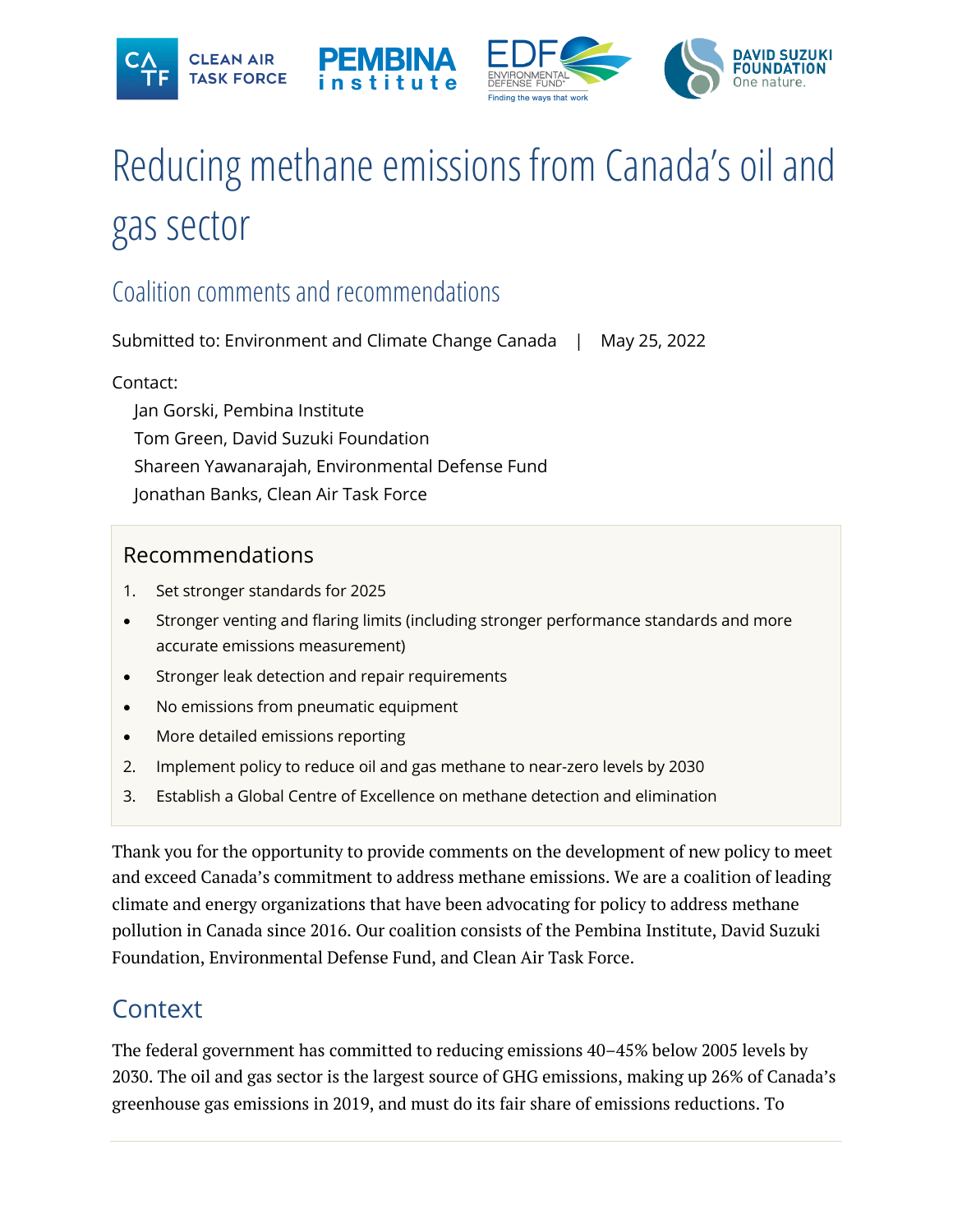







# Reducing methane emissions from Canada's oil and gas sector

# Coalition commentsand recommendations

Submitted to: Environment and Climate Change Canada | May 25, 2022

#### Contact:

Jan Gorski, Pembina Institute Tom Green, David Suzuki Foundation Shareen Yawanarajah, Environmental Defense Fund Jonathan Banks, Clean Air Task Force

#### Recommendations

- 1. Set stronger standards for 2025
- Stronger venting and flaring limits (including stronger performance standards and more accurate emissions measurement)
- Stronger leak detection and repair requirements
- No emissions from pneumatic equipment
- More detailed emissions reporting
- 2. Implement policy to reduce oil and gas methane to near-zero levels by 2030
- 3. Establish a Global Centre of Excellence on methane detection and elimination

Thank you for the opportunity to provide comments on the development of new policy to meet and exceed Canada's commitment to address methane emissions. We are a coalition of leading climate and energy organizations that have been advocating for policy to address methane pollution in Canada since 2016. Our coalition consists of the Pembina Institute, David Suzuki Foundation, Environmental Defense Fund, and Clean Air Task Force.

# **Context**

The federal government has committed to reducing emissions 40–45% below 2005 levels by 2030. The oil and gas sector is the largest source of GHG emissions, making up 26% of Canada's greenhouse gas emissions in 2019, and must do its fair share of emissions reductions. To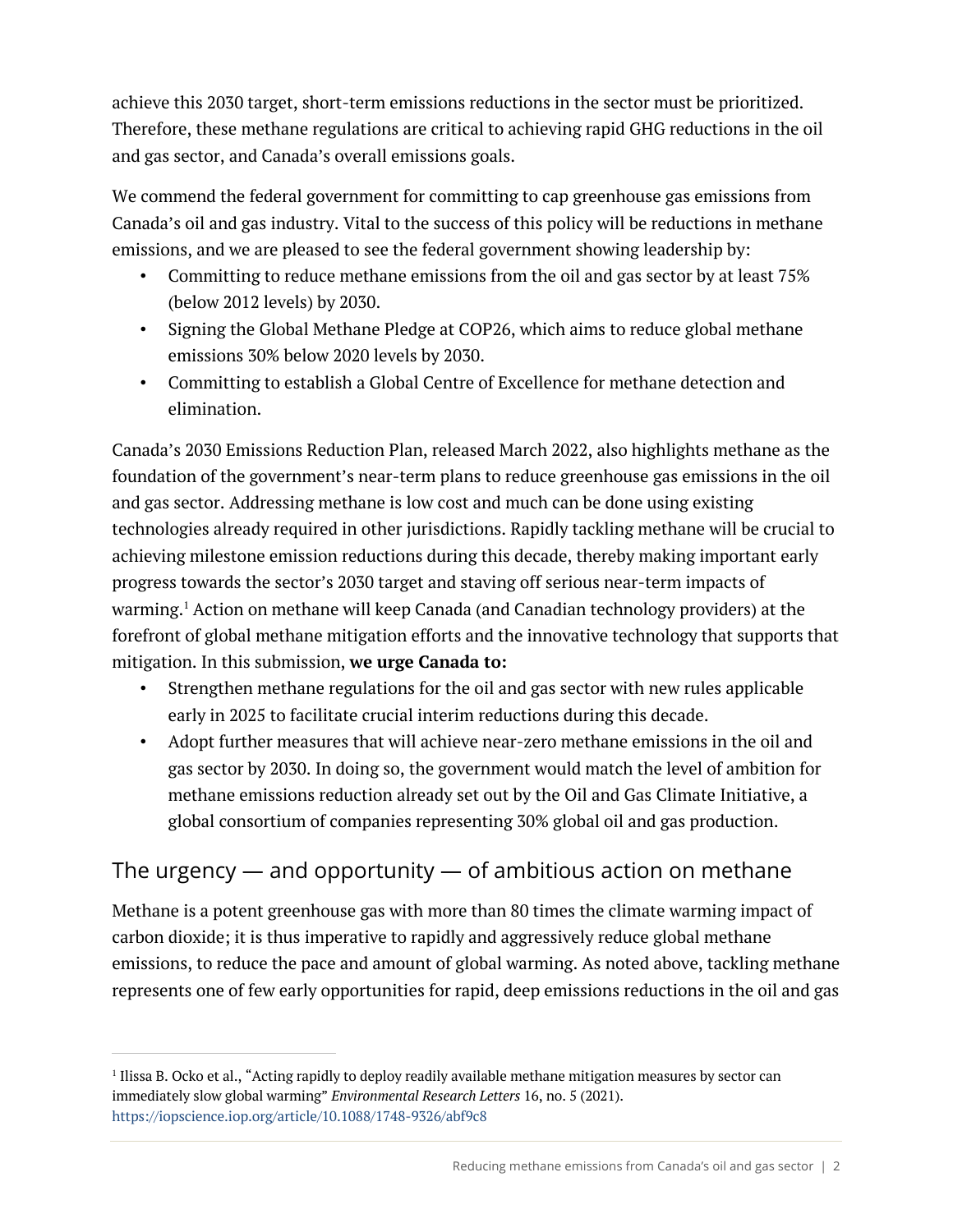achieve this 2030 target, short-term emissions reductions in the sector must be prioritized. Therefore, these methane regulations are critical to achieving rapid GHG reductions in the oil and gas sector, and Canada's overall emissions goals.

We commend the federal government for committing to cap greenhouse gas emissions from Canada's oil and gas industry. Vital to the success of this policy will be reductions in methane emissions, and we are pleased to see the federal government showing leadership by:

- Committing to reduce methane emissions from the oil and gas sector by at least 75% (below 2012 levels) by 2030.
- Signing the Global Methane Pledge at COP26, which aims to reduce global methane emissions 30% below 2020 levels by 2030.
- Committing to establish a Global Centre of Excellence for methane detection and elimination.

Canada's 2030 Emissions Reduction Plan, released March 2022, also highlights methane as the foundation of the government's near-term plans to reduce greenhouse gas emissions in the oil and gas sector. Addressing methane is low cost and much can be done using existing technologies already required in other jurisdictions. Rapidly tackling methane will be crucial to achieving milestone emission reductions during this decade, thereby making important early progress towards the sector's 2030 target and staving off serious near-term impacts of warming. <sup>1</sup> Action on methane will keep Canada (and Canadian technology providers) at the forefront of global methane mitigation efforts and the innovative technology that supports that mitigation. In this submission, **we urge Canada to:**

- Strengthen methane regulations for the oil and gas sector with new rules applicable early in 2025 to facilitate crucial interim reductions during this decade.
- Adopt further measures that will achieve near-zero methane emissions in the oil and gas sector by 2030. In doing so, the government would match the level of ambition for methane emissions reduction already set out by the Oil and Gas Climate Initiative, a global consortium of companies representing 30% global oil and gas production.

## The urgency  $-$  and opportunity  $-$  of ambitious action on methane

Methane is a potent greenhouse gas with more than 80 times the climate warming impact of carbon dioxide; it is thus imperative to rapidly and aggressively reduce global methane emissions, to reduce the pace and amount of global warming. As noted above, tackling methane represents one of few early opportunities for rapid, deep emissions reductions in the oil and gas

<sup>1</sup> Ilissa B. Ocko et al., "Acting rapidly to deploy readily available methane mitigation measures by sector can immediately slow global warming" *Environmental Research Letters* 16, no. 5 (2021). https://iopscience.iop.org/article/10.1088/1748-9326/abf9c8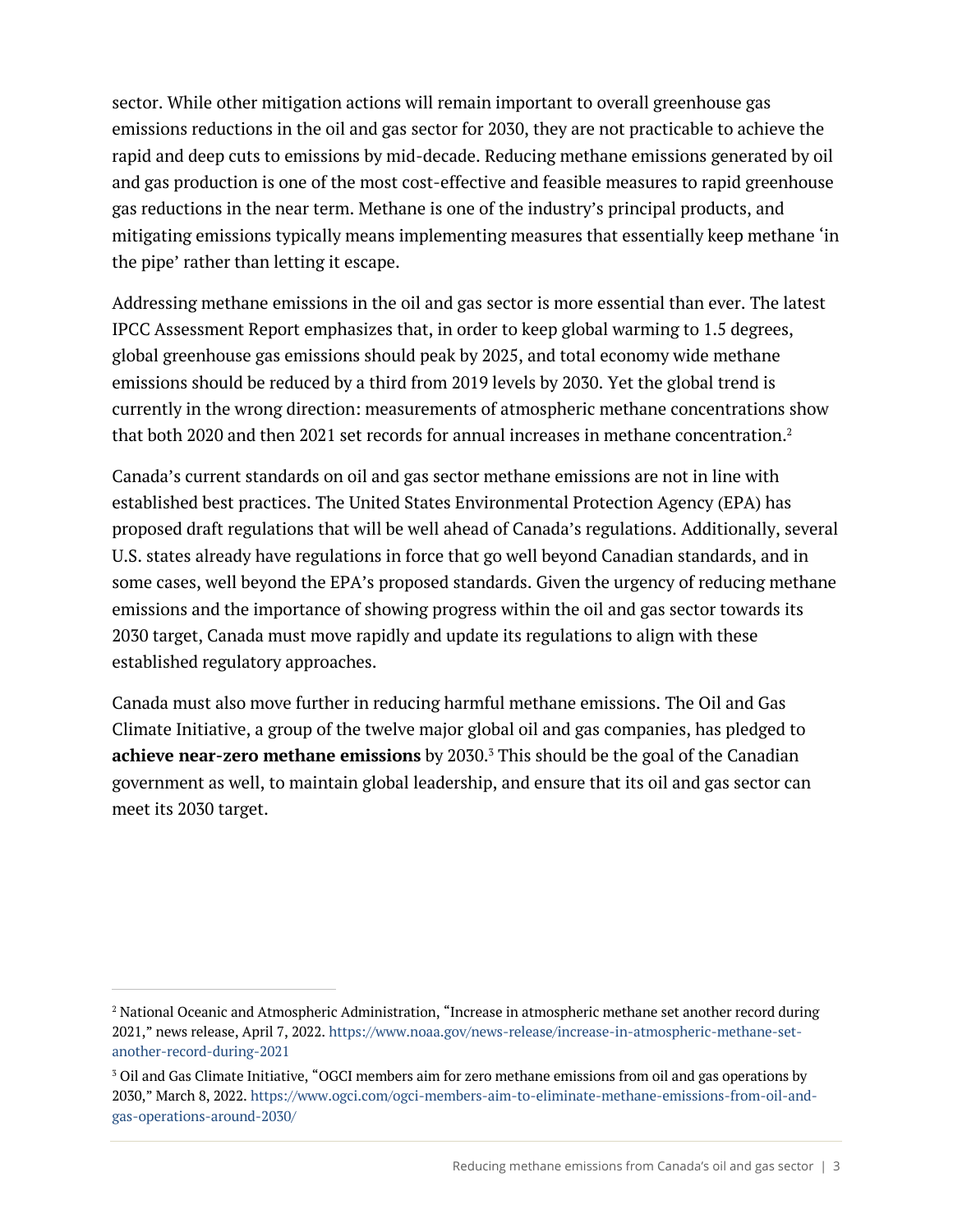sector. While other mitigation actions will remain important to overall greenhouse gas emissions reductions in the oil and gas sector for 2030, they are not practicable to achieve the rapid and deep cuts to emissions by mid-decade. Reducing methane emissions generated by oil and gas production is one of the most cost-effective and feasible measures to rapid greenhouse gas reductions in the near term. Methane is one of the industry's principal products, and mitigating emissions typically means implementing measures that essentially keep methane 'in the pipe' rather than letting it escape.

Addressing methane emissions in the oil and gas sector is more essential than ever. The latest IPCC Assessment Report emphasizes that, in order to keep global warming to 1.5 degrees, global greenhouse gas emissions should peak by 2025, and total economy wide methane emissions should be reduced by a third from 2019 levels by 2030. Yet the global trend is currently in the wrong direction: measurements of atmospheric methane concentrations show that both 2020 and then 2021 set records for annual increases in methane concentration.<sup>2</sup>

Canada's current standards on oil and gas sector methane emissions are not in line with established best practices. The United States Environmental Protection Agency (EPA) has proposed draft regulations that will be well ahead of Canada's regulations. Additionally, several U.S. states already have regulations in force that go well beyond Canadian standards, and in some cases, well beyond the EPA's proposed standards. Given the urgency of reducing methane emissions and the importance of showing progress within the oil and gas sector towards its 2030 target, Canada must move rapidly and update its regulations to align with these established regulatory approaches.

Canada must also move further in reducing harmful methane emissions. The Oil and Gas Climate Initiative, a group of the twelve major global oil and gas companies, has pledged to **achieve near-zero methane emissions** by 2030.<sup>3</sup> This should be the goal of the Canadian government as well, to maintain global leadership, and ensure that its oil and gas sector can meet its 2030 target.

<sup>2</sup> National Oceanic and Atmospheric Administration, "Increase in atmospheric methane set another record during 2021," news release, April 7, 2022. https://www.noaa.gov/news-release/increase-in-atmospheric-methane-setanother-record-during-2021

<sup>3</sup> Oil and Gas Climate Initiative, "OGCI members aim for zero methane emissions from oil and gas operations by 2030," March 8, 2022. https://www.ogci.com/ogci-members-aim-to-eliminate-methane-emissions-from-oil-andgas-operations-around-2030/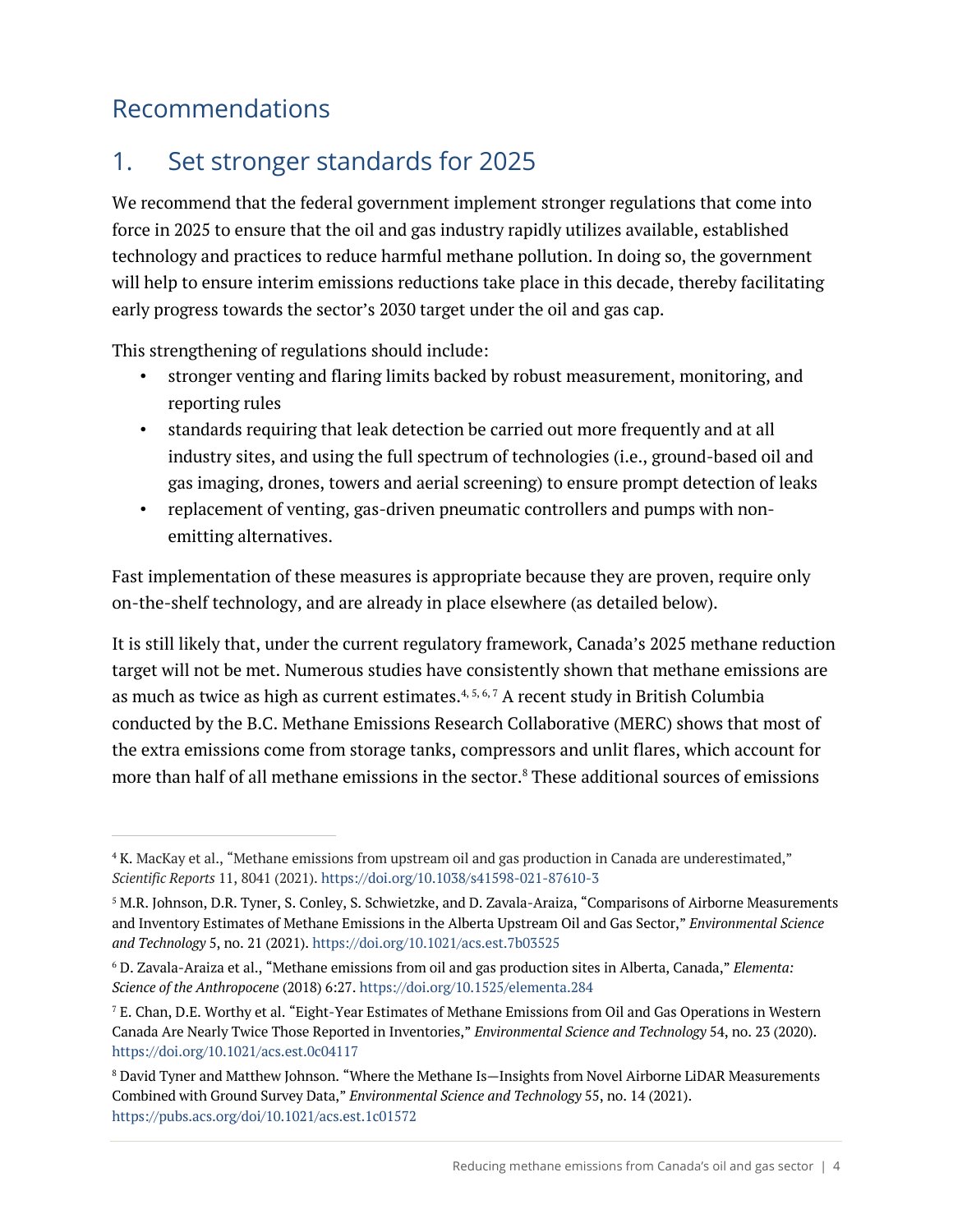# Recommendations

# 1. Set stronger standards for 2025

We recommend that the federal government implement stronger regulations that come into force in 2025 to ensure that the oil and gas industry rapidly utilizes available, established technology and practices to reduce harmful methane pollution. In doing so, the government will help to ensure interim emissions reductions take place in this decade, thereby facilitating early progress towards the sector's 2030 target under the oil and gas cap.

This strengthening of regulations should include:

- stronger venting and flaring limits backed by robust measurement, monitoring, and reporting rules
- standards requiring that leak detection be carried out more frequently and at all industry sites, and using the full spectrum of technologies (i.e., ground-based oil and gas imaging, drones, towers and aerial screening) to ensure prompt detection of leaks
- replacement of venting, gas-driven pneumatic controllers and pumps with nonemitting alternatives.

Fast implementation of these measures is appropriate because they are proven, require only on-the-shelf technology, and are already in place elsewhere (as detailed below).

It is still likely that, under the current regulatory framework, Canada's 2025 methane reduction target will not be met. Numerous studies have consistently shown that methane emissions are as much as twice as high as current estimates.<sup>4, 5, 6, 7</sup> A recent study in British Columbia conducted by the B.C. Methane Emissions Research Collaborative (MERC) shows that most of the extra emissions come from storage tanks, compressors and unlit flares, which account for more than half of all methane emissions in the sector.<sup>8</sup> These additional sources of emissions

<sup>4</sup> K. MacKay et al., "Methane emissions from upstream oil and gas production in Canada are underestimated," *Scientific Reports* 11, 8041 (2021). https://doi.org/10.1038/s41598-021-87610-3

<sup>5</sup> M.R. Johnson, D.R. Tyner, S. Conley, S. Schwietzke, and D. Zavala-Araiza, "Comparisons of Airborne Measurements and Inventory Estimates of Methane Emissions in the Alberta Upstream Oil and Gas Sector," *Environmental Science and Technology* 5, no. 21 (2021). https://doi.org/10.1021/acs.est.7b03525

<sup>6</sup> D. Zavala-Araiza et al., "Methane emissions from oil and gas production sites in Alberta, Canada," *Elementa: Science of the Anthropocene* (2018) 6:27. https://doi.org/10.1525/elementa.284

<sup>7</sup> E. Chan, D.E. Worthy et al. "Eight-Year Estimates of Methane Emissions from Oil and Gas Operations in Western Canada Are Nearly Twice Those Reported in Inventories," *Environmental Science and Technology* 54, no. 23 (2020). https://doi.org/10.1021/acs.est.0c04117

<sup>8</sup> David Tyner and Matthew Johnson. "Where the Methane Is—Insights from Novel Airborne LiDAR Measurements Combined with Ground Survey Data," *Environmental Science and Technology* 55, no. 14 (2021). https://pubs.acs.org/doi/10.1021/acs.est.1c01572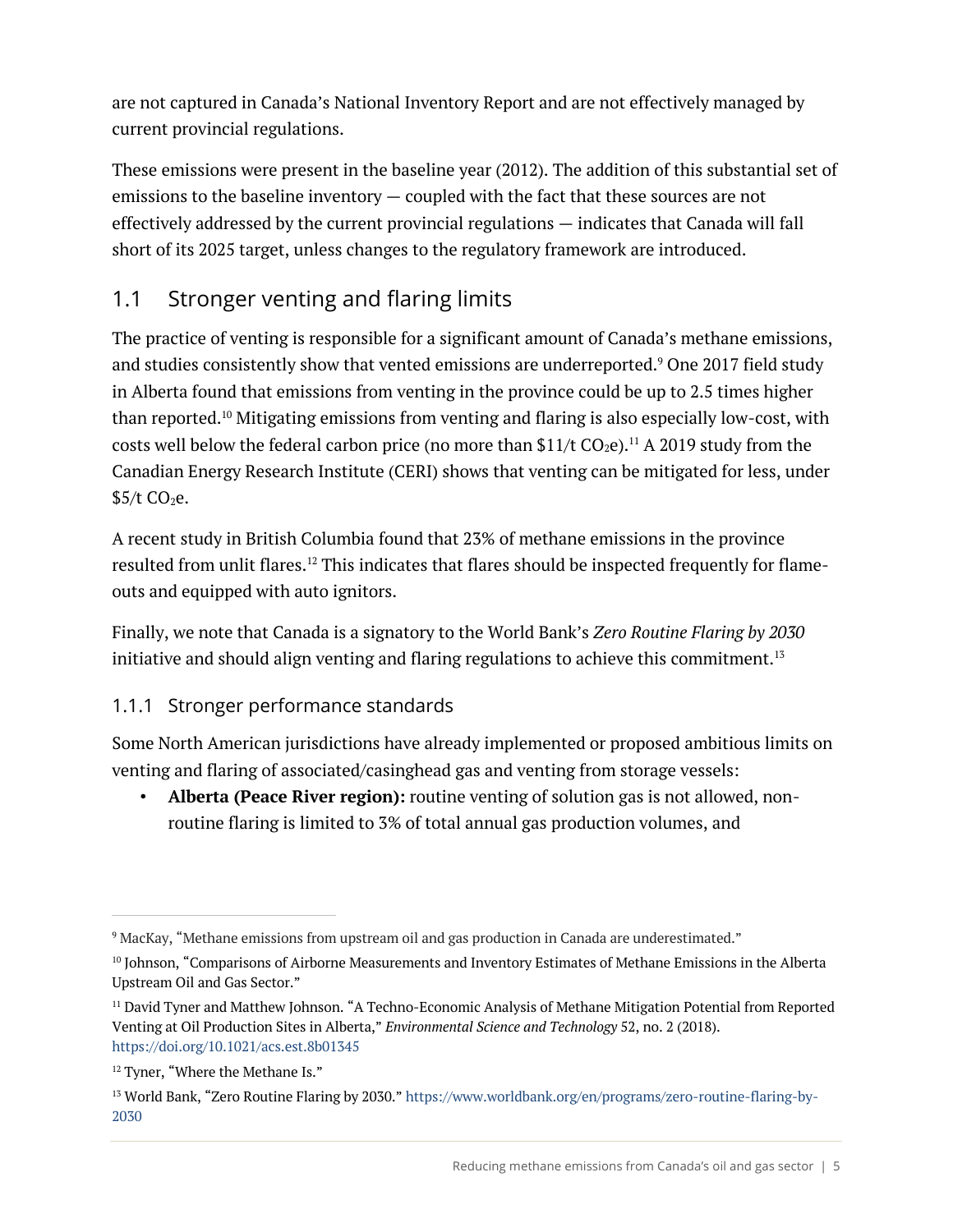are not captured in Canada's National Inventory Report and are not effectively managed by current provincial regulations.

These emissions were present in the baseline year (2012). The addition of this substantial set of emissions to the baseline inventory — coupled with the fact that these sources are not effectively addressed by the current provincial regulations — indicates that Canada will fall short of its 2025 target, unless changes to the regulatory framework are introduced.

## 1.1 Stronger venting and flaring limits

The practice of venting is responsible for a significant amount of Canada's methane emissions, and studies consistently show that vented emissions are underreported.<sup>9</sup> One 2017 field study in Alberta found that emissions from venting in the province could be up to 2.5 times higher than reported.10 Mitigating emissions from venting and flaring is also especially low-cost, with costs well below the federal carbon price (no more than \$11/t  $CO<sub>2</sub>e$ ).<sup>11</sup> A 2019 study from the Canadian Energy Research Institute (CERI) shows that venting can be mitigated for less, under  $$5/t$  CO<sub>2</sub>e.

A recent study in British Columbia found that 23% of methane emissions in the province resulted from unlit flares.<sup>12</sup> This indicates that flares should be inspected frequently for flameouts and equipped with auto ignitors.

Finally, we note that Canada is a signatory to the World Bank's *Zero Routine Flaring by 2030* initiative and should align venting and flaring regulations to achieve this commitment.<sup>13</sup>

#### 1.1.1 Stronger performance standards

Some North American jurisdictions have already implemented or proposed ambitious limits on venting and flaring of associated/casinghead gas and venting from storage vessels:

• **Alberta (Peace River region):** routine venting of solution gas is not allowed, nonroutine flaring is limited to 3% of total annual gas production volumes, and

<sup>9</sup> MacKay, "Methane emissions from upstream oil and gas production in Canada are underestimated."

<sup>&</sup>lt;sup>10</sup> Johnson, "Comparisons of Airborne Measurements and Inventory Estimates of Methane Emissions in the Alberta Upstream Oil and Gas Sector."

<sup>&</sup>lt;sup>11</sup> David Tyner and Matthew Johnson. "A Techno-Economic Analysis of Methane Mitigation Potential from Reported Venting at Oil Production Sites in Alberta," *Environmental Science and Technology* 52, no. 2 (2018). https://doi.org/10.1021/acs.est.8b01345

<sup>&</sup>lt;sup>12</sup> Tyner, "Where the Methane Is."

<sup>13</sup> World Bank, "Zero Routine Flaring by 2030." https://www.worldbank.org/en/programs/zero-routine-flaring-by-2030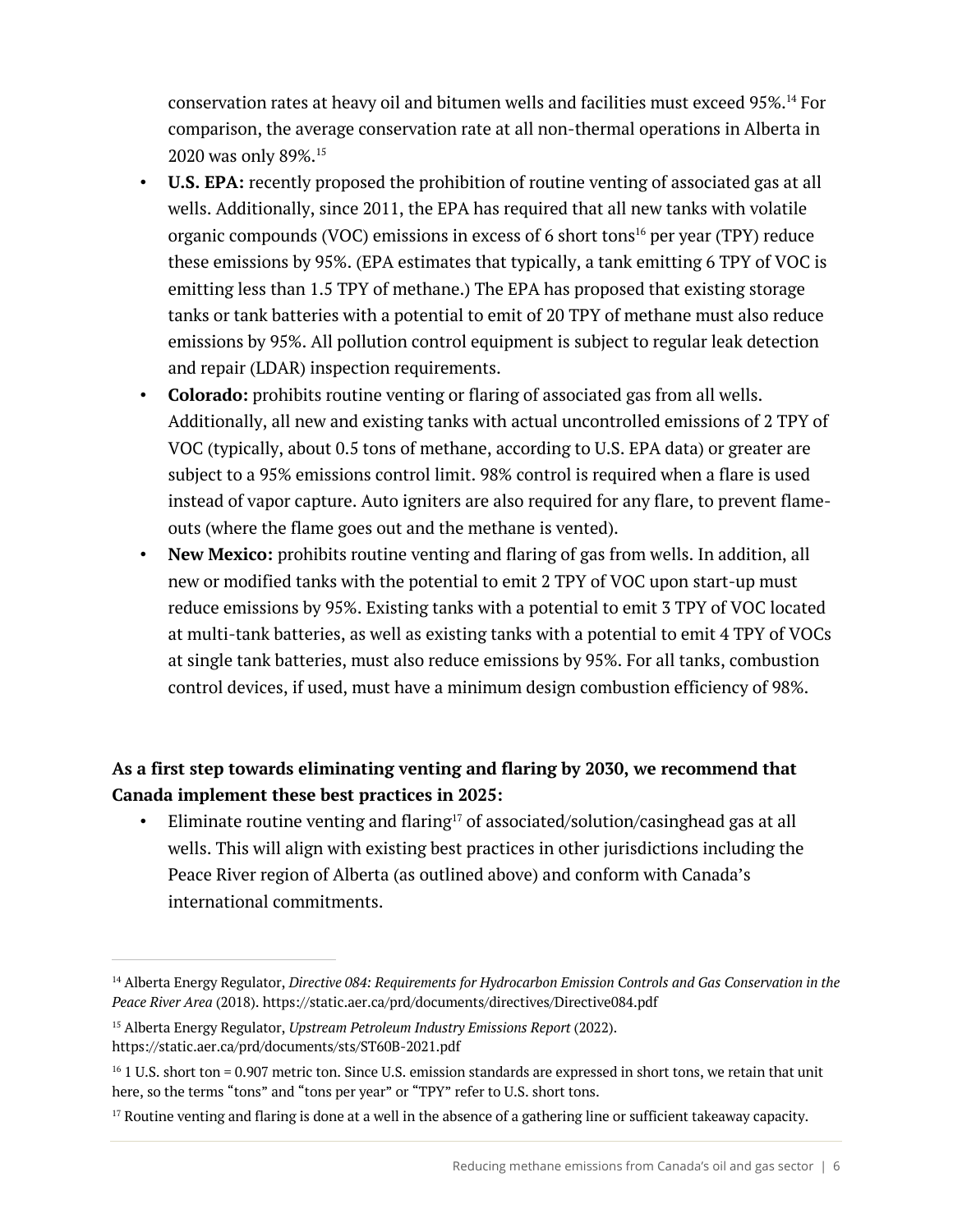conservation rates at heavy oil and bitumen wells and facilities must exceed 95%.14 For comparison, the average conservation rate at all non-thermal operations in Alberta in 2020 was only 89%.15

- **U.S. EPA:** recently proposed the prohibition of routine venting of associated gas at all wells. Additionally, since 2011, the EPA has required that all new tanks with volatile organic compounds (VOC) emissions in excess of 6 short tons<sup>16</sup> per year (TPY) reduce these emissions by 95%. (EPA estimates that typically, a tank emitting 6 TPY of VOC is emitting less than 1.5 TPY of methane.) The EPA has proposed that existing storage tanks or tank batteries with a potential to emit of 20 TPY of methane must also reduce emissions by 95%. All pollution control equipment is subject to regular leak detection and repair (LDAR) inspection requirements.
- **Colorado:** prohibits routine venting or flaring of associated gas from all wells. Additionally, all new and existing tanks with actual uncontrolled emissions of 2 TPY of VOC (typically, about 0.5 tons of methane, according to U.S. EPA data) or greater are subject to a 95% emissions control limit. 98% control is required when a flare is used instead of vapor capture. Auto igniters are also required for any flare, to prevent flameouts (where the flame goes out and the methane is vented).
- **New Mexico:** prohibits routine venting and flaring of gas from wells. In addition, all new or modified tanks with the potential to emit 2 TPY of VOC upon start-up must reduce emissions by 95%. Existing tanks with a potential to emit 3 TPY of VOC located at multi-tank batteries, as well as existing tanks with a potential to emit 4 TPY of VOCs at single tank batteries, must also reduce emissions by 95%. For all tanks, combustion control devices, if used, must have a minimum design combustion efficiency of 98%.

#### **As a first step towards eliminating venting and flaring by 2030, we recommend that Canada implement these best practices in 2025:**

• Eliminate routine venting and flaring<sup>17</sup> of associated/solution/casinghead gas at all wells. This will align with existing best practices in other jurisdictions including the Peace River region of Alberta (as outlined above) and conform with Canada's international commitments.

<sup>15</sup> Alberta Energy Regulator, *Upstream Petroleum Industry Emissions Report* (2022). https://static.aer.ca/prd/documents/sts/ST60B-2021.pdf

<sup>14</sup> Alberta Energy Regulator, *Directive 084: Requirements for Hydrocarbon Emission Controls and Gas Conservation in the Peace River Area* (2018). https://static.aer.ca/prd/documents/directives/Directive084.pdf

 $16$  1 U.S. short ton = 0.907 metric ton. Since U.S. emission standards are expressed in short tons, we retain that unit here, so the terms "tons" and "tons per year" or "TPY" refer to U.S. short tons.

 $17$  Routine venting and flaring is done at a well in the absence of a gathering line or sufficient takeaway capacity.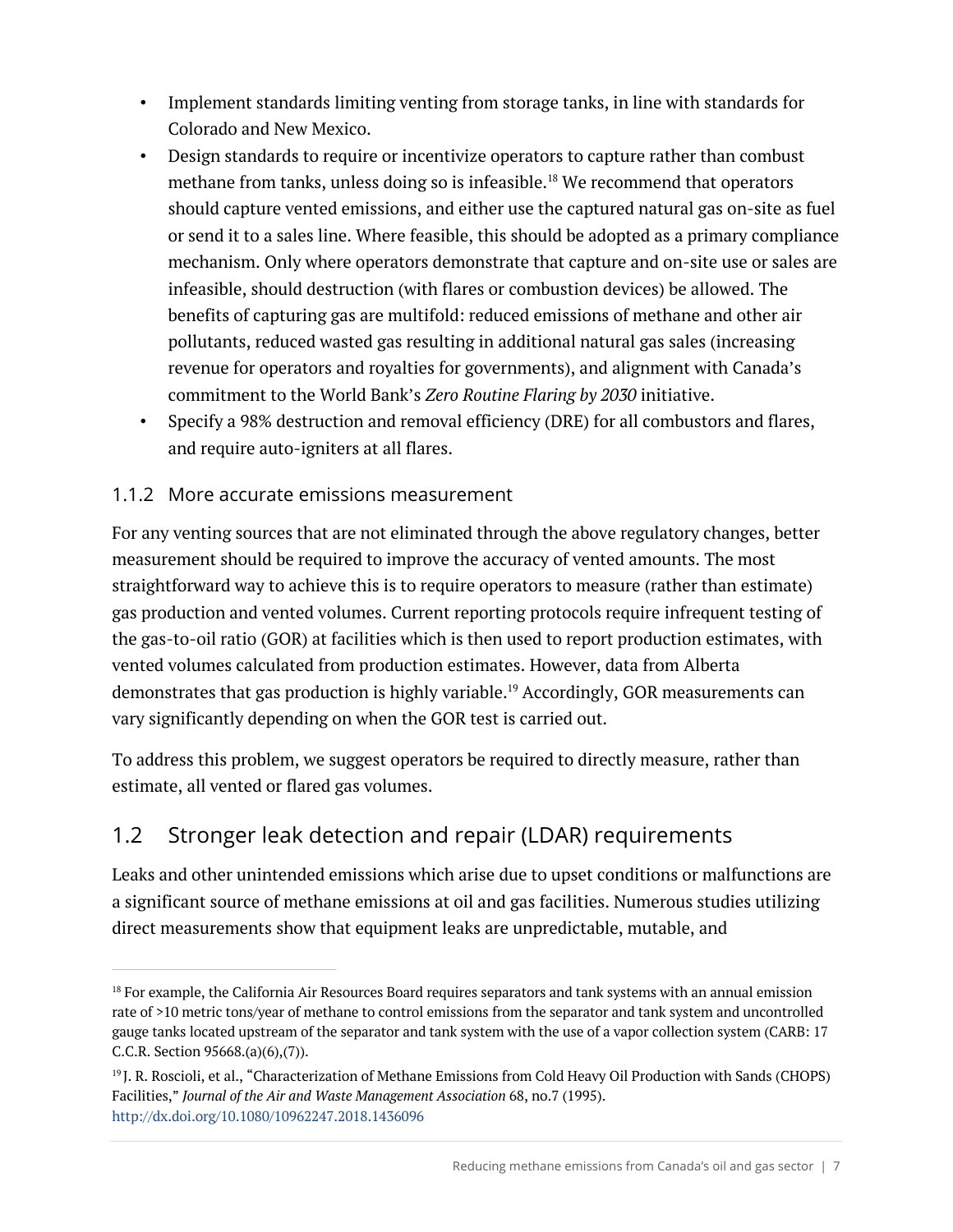- Implement standards limiting venting from storage tanks, in line with standards for Colorado and New Mexico.
- Design standards to require or incentivize operators to capture rather than combust methane from tanks, unless doing so is infeasible. <sup>18</sup> We recommend that operators should capture vented emissions, and either use the captured natural gas on-site as fuel or send it to a sales line. Where feasible, this should be adopted as a primary compliance mechanism. Only where operators demonstrate that capture and on-site use or sales are infeasible, should destruction (with flares or combustion devices) be allowed. The benefits of capturing gas are multifold: reduced emissions of methane and other air pollutants, reduced wasted gas resulting in additional natural gas sales (increasing revenue for operators and royalties for governments), and alignment with Canada's commitment to the World Bank's *Zero Routine Flaring by 2030* initiative.
- Specify a 98% destruction and removal efficiency (DRE) for all combustors and flares, and require auto-igniters at all flares.

#### 1.1.2 More accurate emissions measurement

For any venting sources that are not eliminated through the above regulatory changes, better measurement should be required to improve the accuracy of vented amounts. The most straightforward way to achieve this is to require operators to measure (rather than estimate) gas production and vented volumes. Current reporting protocols require infrequent testing of the gas-to-oil ratio (GOR) at facilities which is then used to report production estimates, with vented volumes calculated from production estimates. However, data from Alberta demonstrates that gas production is highly variable.<sup>19</sup> Accordingly, GOR measurements can vary significantly depending on when the GOR test is carried out.

To address this problem, we suggest operators be required to directly measure, rather than estimate, all vented or flared gas volumes.

## 1.2 Stronger leak detection and repair (LDAR) requirements

Leaks and other unintended emissions which arise due to upset conditions or malfunctions are a significant source of methane emissions at oil and gas facilities. Numerous studies utilizing direct measurements show that equipment leaks are unpredictable, mutable, and

<sup>&</sup>lt;sup>18</sup> For example, the California Air Resources Board requires separators and tank systems with an annual emission rate of >10 metric tons/year of methane to control emissions from the separator and tank system and uncontrolled gauge tanks located upstream of the separator and tank system with the use of a vapor collection system (CARB: 17 C.C.R. Section 95668.(a)(6),(7)).

<sup>19</sup> J. R. Roscioli, et al., "Characterization of Methane Emissions from Cold Heavy Oil Production with Sands (CHOPS) Facilities," *Journal of the Air and Waste Management Association* 68, no.7 (1995). http://dx.doi.org/10.1080/10962247.2018.1436096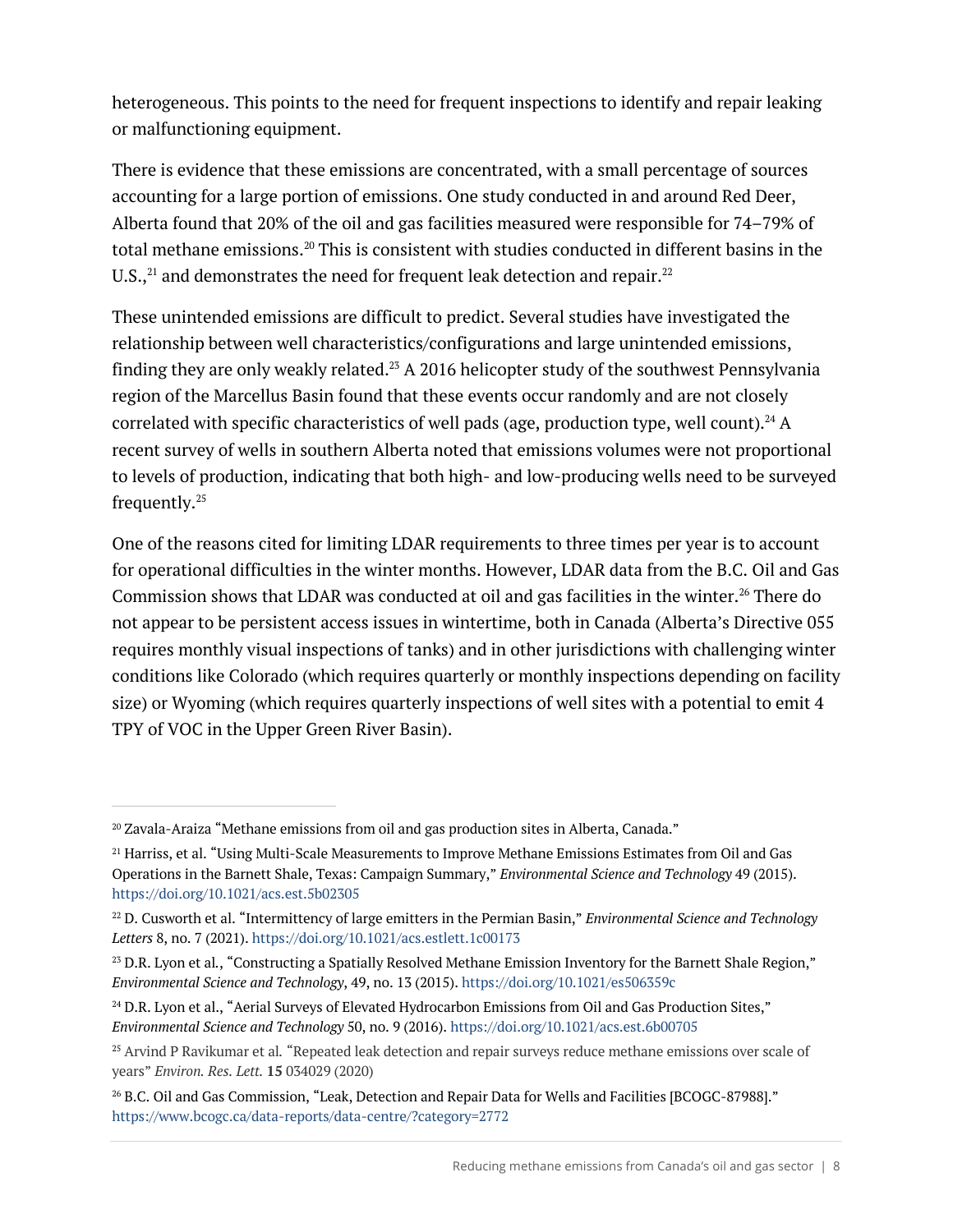heterogeneous. This points to the need for frequent inspections to identify and repair leaking or malfunctioning equipment.

There is evidence that these emissions are concentrated, with a small percentage of sources accounting for a large portion of emissions. One study conducted in and around Red Deer, Alberta found that 20% of the oil and gas facilities measured were responsible for 74–79% of total methane emissions. <sup>20</sup> This is consistent with studies conducted in different basins in the U.S., $^{\rm 21}$  and demonstrates the need for frequent leak detection and repair. $^{\rm 22}$ 

These unintended emissions are difficult to predict. Several studies have investigated the relationship between well characteristics/configurations and large unintended emissions, finding they are only weakly related. <sup>23</sup> A 2016 helicopter study of the southwest Pennsylvania region of the Marcellus Basin found that these events occur randomly and are not closely correlated with specific characteristics of well pads (age, production type, well count). $^{24}$  A recent survey of wells in southern Alberta noted that emissions volumes were not proportional to levels of production, indicating that both high- and low-producing wells need to be surveyed frequently. 25

One of the reasons cited for limiting LDAR requirements to three times per year is to account for operational difficulties in the winter months. However, LDAR data from the B.C. Oil and Gas Commission shows that LDAR was conducted at oil and gas facilities in the winter. <sup>26</sup> There do not appear to be persistent access issues in wintertime, both in Canada (Alberta's Directive 055 requires monthly visual inspections of tanks) and in other jurisdictions with challenging winter conditions like Colorado (which requires quarterly or monthly inspections depending on facility size) or Wyoming (which requires quarterly inspections of well sites with a potential to emit 4 TPY of VOC in the Upper Green River Basin).

<sup>20</sup> Zavala-Araiza "Methane emissions from oil and gas production sites in Alberta, Canada."

<sup>&</sup>lt;sup>21</sup> Harriss, et al. "Using Multi-Scale Measurements to Improve Methane Emissions Estimates from Oil and Gas Operations in the Barnett Shale, Texas: Campaign Summary," *Environmental Science and Technology* 49 (2015). https://doi.org/10.1021/acs.est.5b02305

<sup>22</sup> D. Cusworth et al. "Intermittency of large emitters in the Permian Basin," *Environmental Science and Technology Letters* 8, no. 7 (2021). https://doi.org/10.1021/acs.estlett.1c00173

<sup>&</sup>lt;sup>23</sup> D.R. Lyon et al., "Constructing a Spatially Resolved Methane Emission Inventory for the Barnett Shale Region," *Environmental Science and Technology*, 49, no. 13 (2015). https://doi.org/10.1021/es506359c

<sup>&</sup>lt;sup>24</sup> D.R. Lyon et al., "Aerial Surveys of Elevated Hydrocarbon Emissions from Oil and Gas Production Sites," *Environmental Science and Technology* 50, no. 9 (2016). https://doi.org/10.1021/acs.est.6b00705

<sup>25</sup> Arvind P Ravikumar et al*.* "Repeated leak detection and repair surveys reduce methane emissions over scale of years" *Environ. Res. Lett.* **15** 034029 (2020)

<sup>&</sup>lt;sup>26</sup> B.C. Oil and Gas Commission, "Leak, Detection and Repair Data for Wells and Facilities [BCOGC-87988]." https://www.bcogc.ca/data-reports/data-centre/?category=2772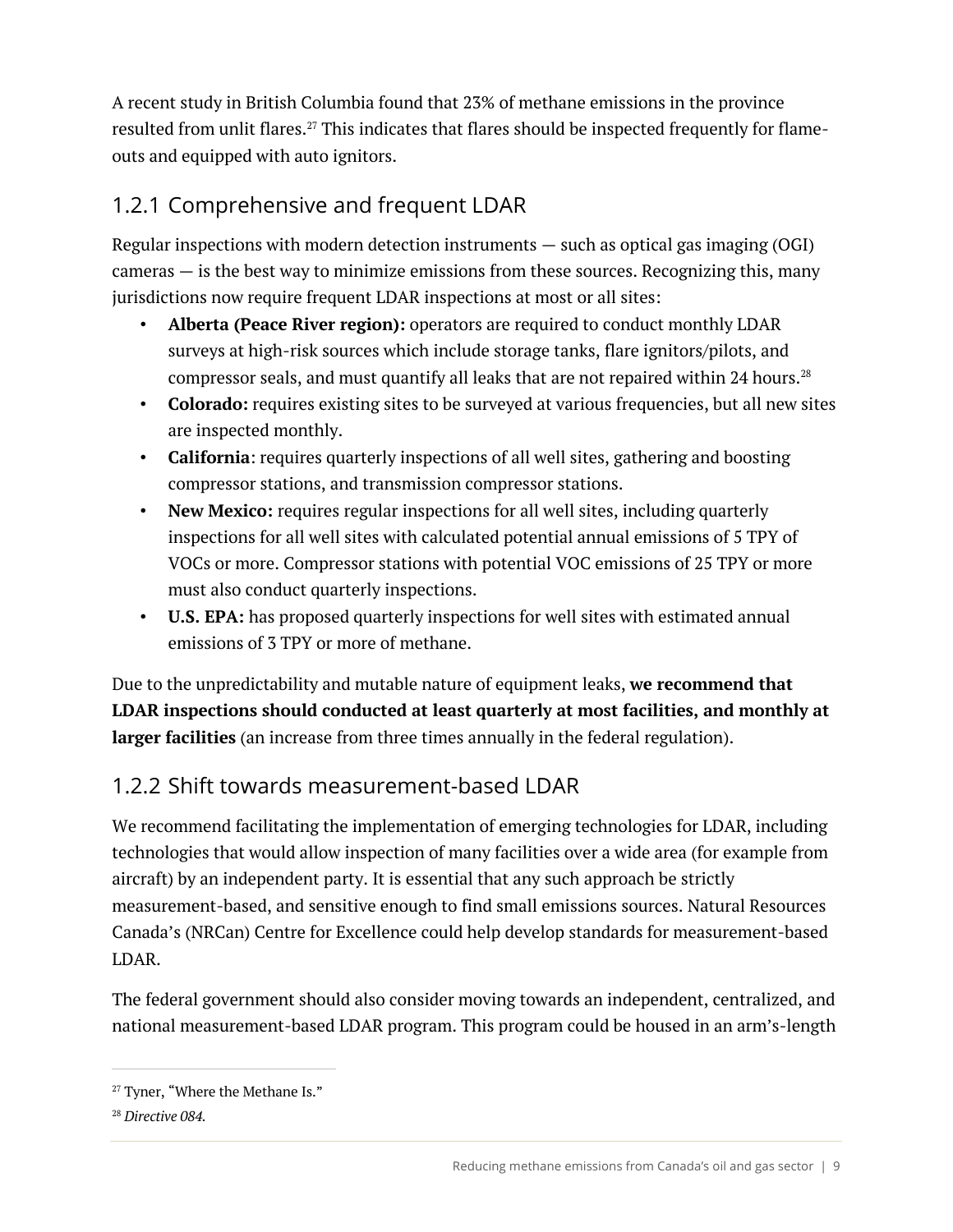A recent study in British Columbia found that 23% of methane emissions in the province resulted from unlit flares.<sup>27</sup> This indicates that flares should be inspected frequently for flameouts and equipped with auto ignitors.

## 1.2.1 Comprehensive and frequent LDAR

Regular inspections with modern detection instruments  $-$  such as optical gas imaging (OGI) cameras  $-$  is the best way to minimize emissions from these sources. Recognizing this, many jurisdictions now require frequent LDAR inspections at most or all sites:

- **Alberta (Peace River region):** operators are required to conduct monthly LDAR surveys at high-risk sources which include storage tanks, flare ignitors/pilots, and compressor seals, and must quantify all leaks that are not repaired within 24 hours.<sup>28</sup>
- **Colorado:** requires existing sites to be surveyed at various frequencies, but all new sites are inspected monthly.
- **California**: requires quarterly inspections of all well sites, gathering and boosting compressor stations, and transmission compressor stations.
- **New Mexico:** requires regular inspections for all well sites, including quarterly inspections for all well sites with calculated potential annual emissions of 5 TPY of VOCs or more. Compressor stations with potential VOC emissions of 25 TPY or more must also conduct quarterly inspections.
- **U.S. EPA:** has proposed quarterly inspections for well sites with estimated annual emissions of 3 TPY or more of methane.

Due to the unpredictability and mutable nature of equipment leaks, **we recommend that LDAR inspections should conducted at least quarterly at most facilities, and monthly at larger facilities** (an increase from three times annually in the federal regulation).

## 1.2.2 Shift towards measurement-based LDAR

We recommend facilitating the implementation of emerging technologies for LDAR, including technologies that would allow inspection of many facilities over a wide area (for example from aircraft) by an independent party. It is essential that any such approach be strictly measurement-based, and sensitive enough to find small emissions sources. Natural Resources Canada's (NRCan) Centre for Excellence could help develop standards for measurement-based LDAR.

The federal government should also consider moving towards an independent, centralized, and national measurement-based LDAR program. This program could be housed in an arm's-length

<sup>&</sup>lt;sup>27</sup> Tyner, "Where the Methane Is."

<sup>28</sup> *Directive 084.*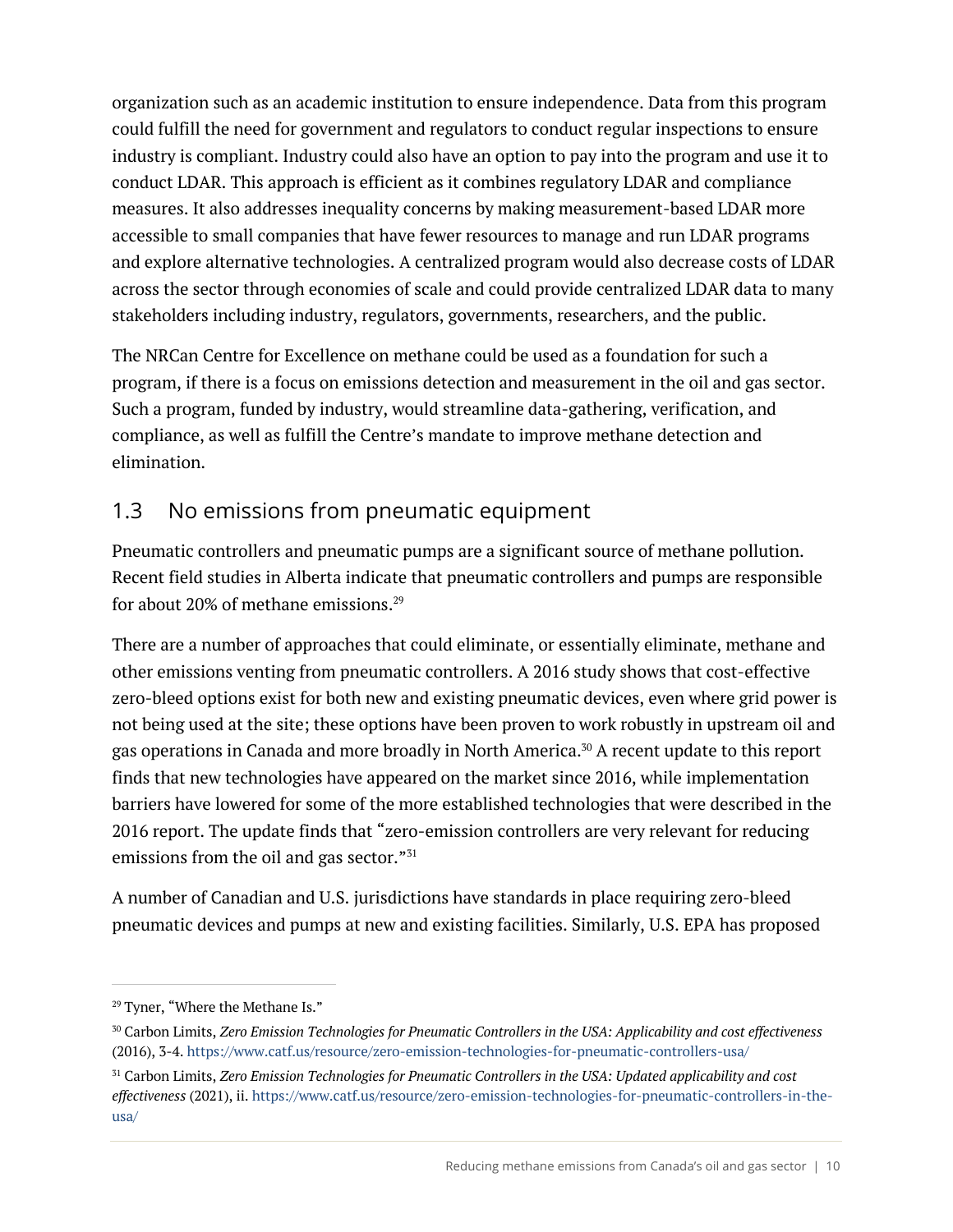organization such as an academic institution to ensure independence. Data from this program could fulfill the need for government and regulators to conduct regular inspections to ensure industry is compliant. Industry could also have an option to pay into the program and use it to conduct LDAR. This approach is efficient as it combines regulatory LDAR and compliance measures. It also addresses inequality concerns by making measurement-based LDAR more accessible to small companies that have fewer resources to manage and run LDAR programs and explore alternative technologies. A centralized program would also decrease costs of LDAR across the sector through economies of scale and could provide centralized LDAR data to many stakeholders including industry, regulators, governments, researchers, and the public.

The NRCan Centre for Excellence on methane could be used as a foundation for such a program, if there is a focus on emissions detection and measurement in the oil and gas sector. Such a program, funded by industry, would streamline data-gathering, verification, and compliance, as well as fulfill the Centre's mandate to improve methane detection and elimination.

## 1.3 No emissions from pneumatic equipment

Pneumatic controllers and pneumatic pumps are a significant source of methane pollution. Recent field studies in Alberta indicate that pneumatic controllers and pumps are responsible for about 20% of methane emissions. 29

There are a number of approaches that could eliminate, or essentially eliminate, methane and other emissions venting from pneumatic controllers. A 2016 study shows that cost-effective zero-bleed options exist for both new and existing pneumatic devices, even where grid power is not being used at the site; these options have been proven to work robustly in upstream oil and gas operations in Canada and more broadly in North America.30 A recent update to this report finds that new technologies have appeared on the market since 2016, while implementation barriers have lowered for some of the more established technologies that were described in the 2016 report. The update finds that "zero-emission controllers are very relevant for reducing emissions from the oil and gas sector."<sup>31</sup>

A number of Canadian and U.S. jurisdictions have standards in place requiring zero-bleed pneumatic devices and pumps at new and existing facilities. Similarly, U.S. EPA has proposed

<sup>&</sup>lt;sup>29</sup> Tyner, "Where the Methane Is."

<sup>30</sup> Carbon Limits, *Zero Emission Technologies for Pneumatic Controllers in the USA: Applicability and cost effectiveness* (2016), 3-4. https://www.catf.us/resource/zero-emission-technologies-for-pneumatic-controllers-usa/

<sup>31</sup> Carbon Limits, *Zero Emission Technologies for Pneumatic Controllers in the USA: Updated applicability and cost effectiveness* (2021), ii. https://www.catf.us/resource/zero-emission-technologies-for-pneumatic-controllers-in-theusa/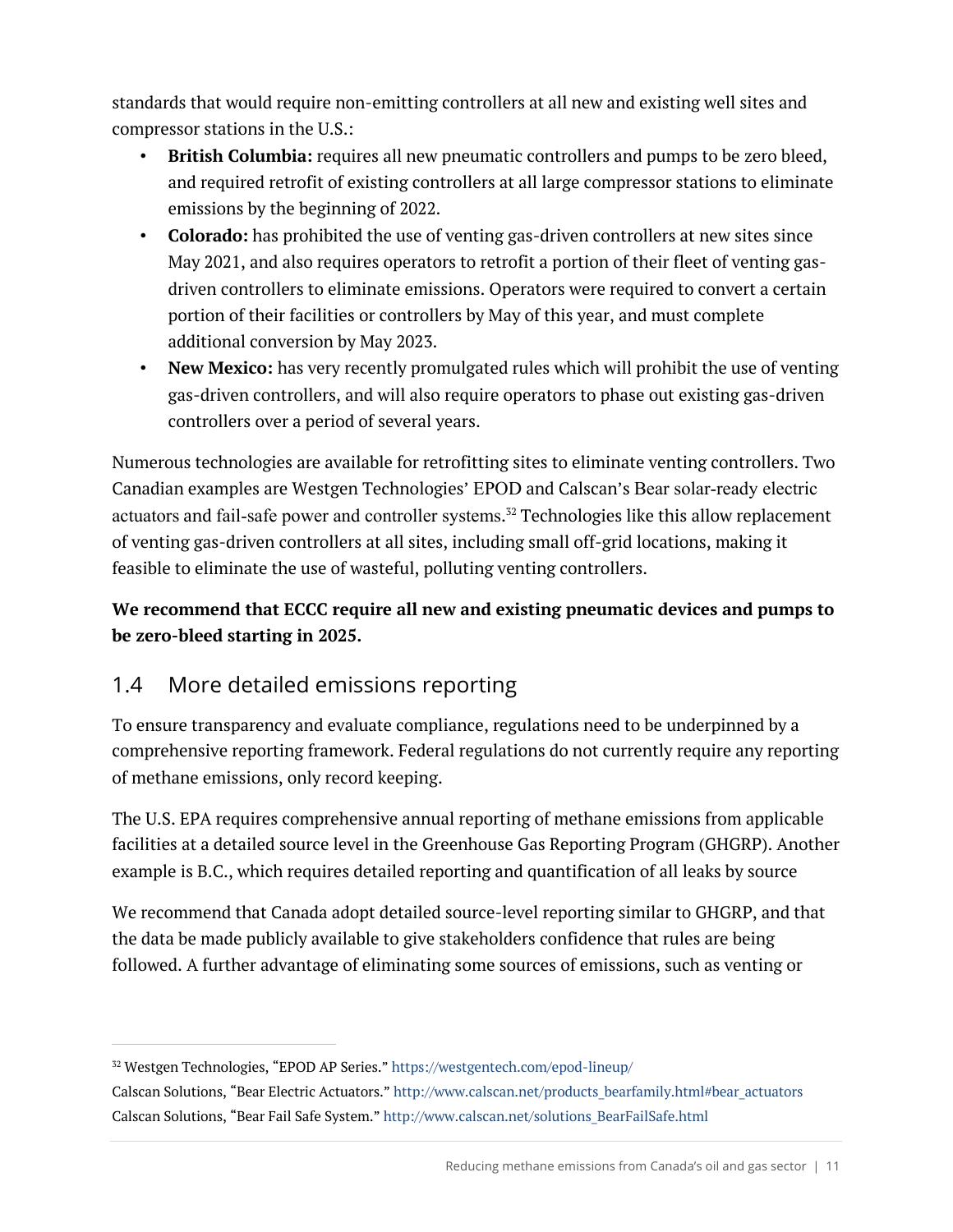standards that would require non-emitting controllers at all new and existing well sites and compressor stations in the U.S.:

- **British Columbia:** requires all new pneumatic controllers and pumps to be zero bleed, and required retrofit of existing controllers at all large compressor stations to eliminate emissions by the beginning of 2022.
- **Colorado:** has prohibited the use of venting gas-driven controllers at new sites since May 2021, and also requires operators to retrofit a portion of their fleet of venting gasdriven controllers to eliminate emissions. Operators were required to convert a certain portion of their facilities or controllers by May of this year, and must complete additional conversion by May 2023.
- **New Mexico:** has very recently promulgated rules which will prohibit the use of venting gas-driven controllers, and will also require operators to phase out existing gas-driven controllers over a period of several years.

Numerous technologies are available for retrofitting sites to eliminate venting controllers. Two Canadian examples are Westgen Technologies' EPOD and Calscan's Bear solar-ready electric actuators and fail-safe power and controller systems. <sup>32</sup> Technologies like this allow replacement of venting gas-driven controllers at all sites, including small off-grid locations, making it feasible to eliminate the use of wasteful, polluting venting controllers.

#### **We recommend that ECCC require all new and existing pneumatic devices and pumps to be zero-bleed starting in 2025.**

## 1.4 More detailed emissions reporting

To ensure transparency and evaluate compliance, regulations need to be underpinned by a comprehensive reporting framework. Federal regulations do not currently require any reporting of methane emissions, only record keeping.

The U.S. EPA requires comprehensive annual reporting of methane emissions from applicable facilities at a detailed source level in the Greenhouse Gas Reporting Program (GHGRP). Another example is B.C., which requires detailed reporting and quantification of all leaks by source

We recommend that Canada adopt detailed source-level reporting similar to GHGRP, and that the data be made publicly available to give stakeholders confidence that rules are being followed. A further advantage of eliminating some sources of emissions, such as venting or

<sup>32</sup> Westgen Technologies, "EPOD AP Series." https://westgentech.com/epod-lineup/

Calscan Solutions, "Bear Electric Actuators." http://www.calscan.net/products\_bearfamily.html#bear\_actuators Calscan Solutions, "Bear Fail Safe System." http://www.calscan.net/solutions\_BearFailSafe.html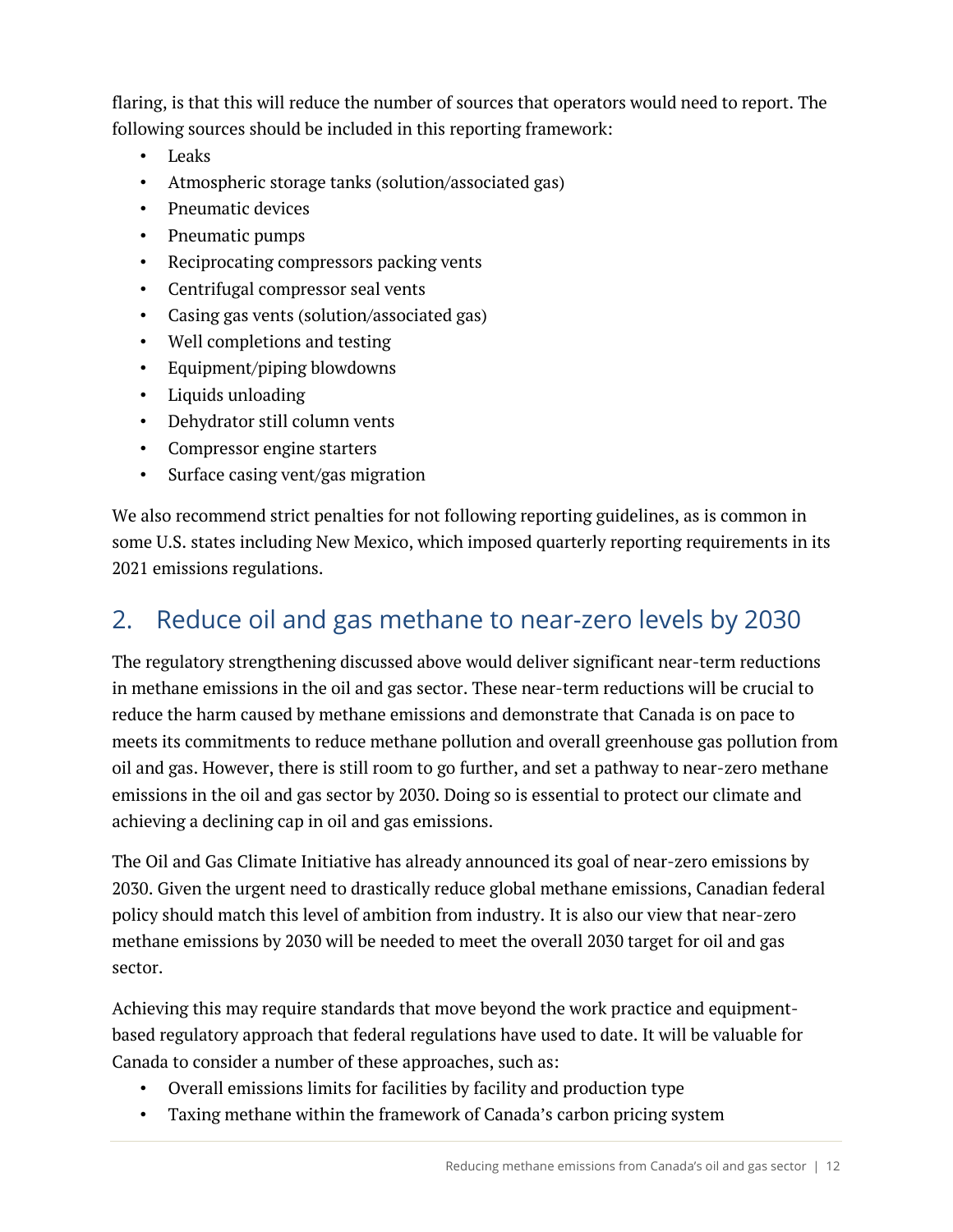flaring, is that this will reduce the number of sources that operators would need to report. The following sources should be included in this reporting framework:

- Leaks
- Atmospheric storage tanks (solution/associated gas)
- Pneumatic devices
- Pneumatic pumps
- Reciprocating compressors packing vents
- Centrifugal compressor seal vents
- Casing gas vents (solution/associated gas)
- Well completions and testing
- Equipment/piping blowdowns
- Liquids unloading
- Dehydrator still column vents
- Compressor engine starters
- Surface casing vent/gas migration

We also recommend strict penalties for not following reporting guidelines, as is common in some U.S. states including New Mexico, which imposed quarterly reporting requirements in its 2021 emissions regulations.

# 2. Reduce oil and gas methane to near-zero levels by 2030

The regulatory strengthening discussed above would deliver significant near-term reductions in methane emissions in the oil and gas sector. These near-term reductions will be crucial to reduce the harm caused by methane emissions and demonstrate that Canada is on pace to meets its commitments to reduce methane pollution and overall greenhouse gas pollution from oil and gas. However, there is still room to go further, and set a pathway to near-zero methane emissions in the oil and gas sector by 2030. Doing so is essential to protect our climate and achieving a declining cap in oil and gas emissions.

The Oil and Gas Climate Initiative has already announced its goal of near-zero emissions by 2030. Given the urgent need to drastically reduce global methane emissions, Canadian federal policy should match this level of ambition from industry. It is also our view that near-zero methane emissions by 2030 will be needed to meet the overall 2030 target for oil and gas sector.

Achieving this may require standards that move beyond the work practice and equipmentbased regulatory approach that federal regulations have used to date. It will be valuable for Canada to consider a number of these approaches, such as:

- Overall emissions limits for facilities by facility and production type
- Taxing methane within the framework of Canada's carbon pricing system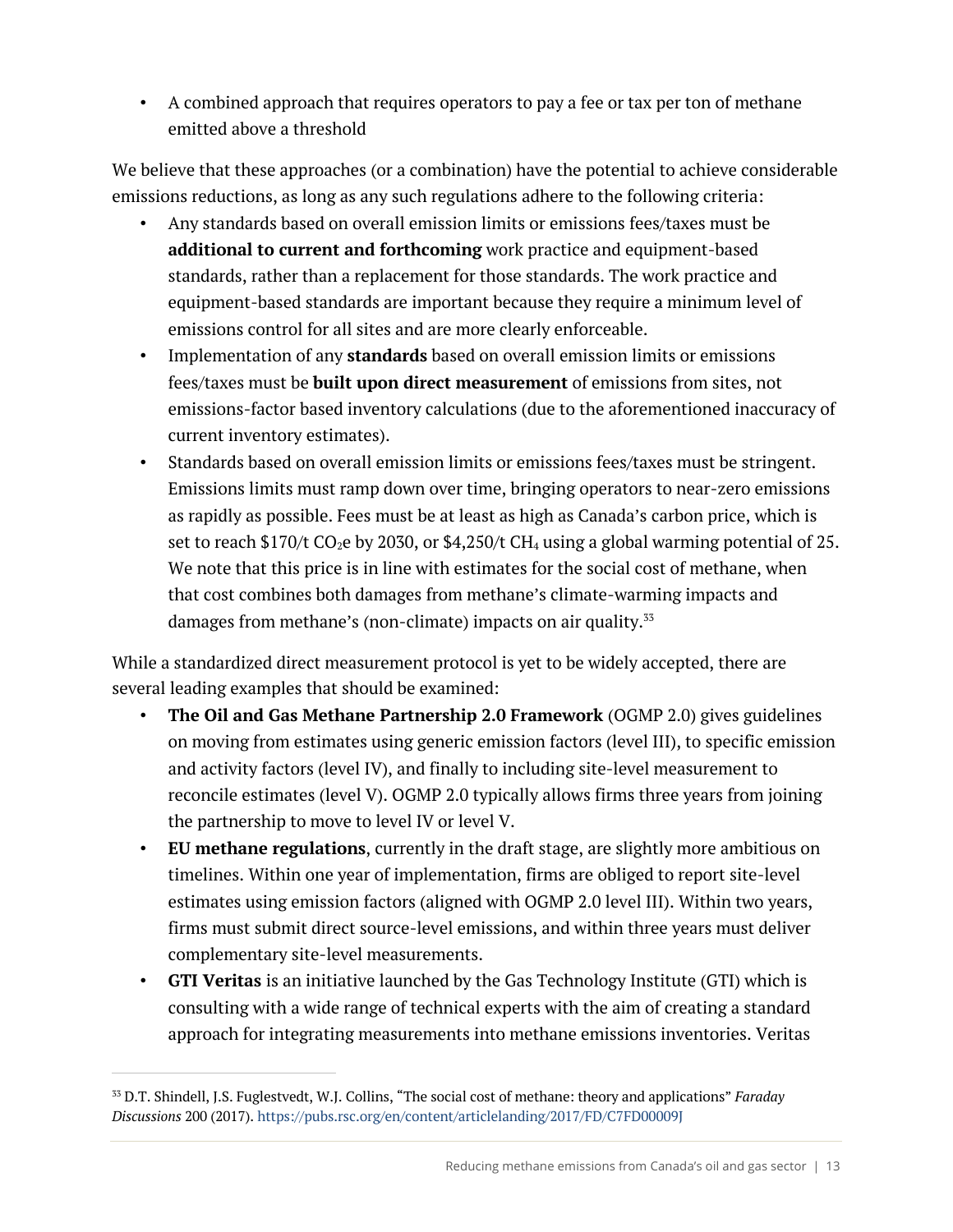• A combined approach that requires operators to pay a fee or tax per ton of methane emitted above a threshold

We believe that these approaches (or a combination) have the potential to achieve considerable emissions reductions, as long as any such regulations adhere to the following criteria:

- Any standards based on overall emission limits or emissions fees/taxes must be **additional to current and forthcoming** work practice and equipment-based standards, rather than a replacement for those standards. The work practice and equipment-based standards are important because they require a minimum level of emissions control for all sites and are more clearly enforceable.
- Implementation of any **standards** based on overall emission limits or emissions fees/taxes must be **built upon direct measurement** of emissions from sites, not emissions-factor based inventory calculations (due to the aforementioned inaccuracy of current inventory estimates).
- Standards based on overall emission limits or emissions fees/taxes must be stringent. Emissions limits must ramp down over time, bringing operators to near-zero emissions as rapidly as possible. Fees must be at least as high as Canada's carbon price, which is set to reach \$170/t  $CO<sub>2</sub>e$  by 2030, or \$4,250/t  $CH<sub>4</sub>$  using a global warming potential of 25. We note that this price is in line with estimates for the social cost of methane, when that cost combines both damages from methane's climate-warming impacts and damages from methane's (non-climate) impacts on air quality.<sup>33</sup>

While a standardized direct measurement protocol is yet to be widely accepted, there are several leading examples that should be examined:

- **The Oil and Gas Methane Partnership 2.0 Framework** (OGMP 2.0) gives guidelines on moving from estimates using generic emission factors (level III), to specific emission and activity factors (level IV), and finally to including site-level measurement to reconcile estimates (level V). OGMP 2.0 typically allows firms three years from joining the partnership to move to level IV or level V.
- **EU methane regulations**, currently in the draft stage, are slightly more ambitious on timelines. Within one year of implementation, firms are obliged to report site-level estimates using emission factors (aligned with OGMP 2.0 level III). Within two years, firms must submit direct source-level emissions, and within three years must deliver complementary site-level measurements.
- **GTI Veritas** is an initiative launched by the Gas Technology Institute (GTI) which is consulting with a wide range of technical experts with the aim of creating a standard approach for integrating measurements into methane emissions inventories. Veritas

<sup>33</sup> D.T. Shindell, J.S. Fuglestvedt, W.J. Collins, "The social cost of methane: theory and applications" *Faraday Discussions* 200 (2017). https://pubs.rsc.org/en/content/articlelanding/2017/FD/C7FD00009J